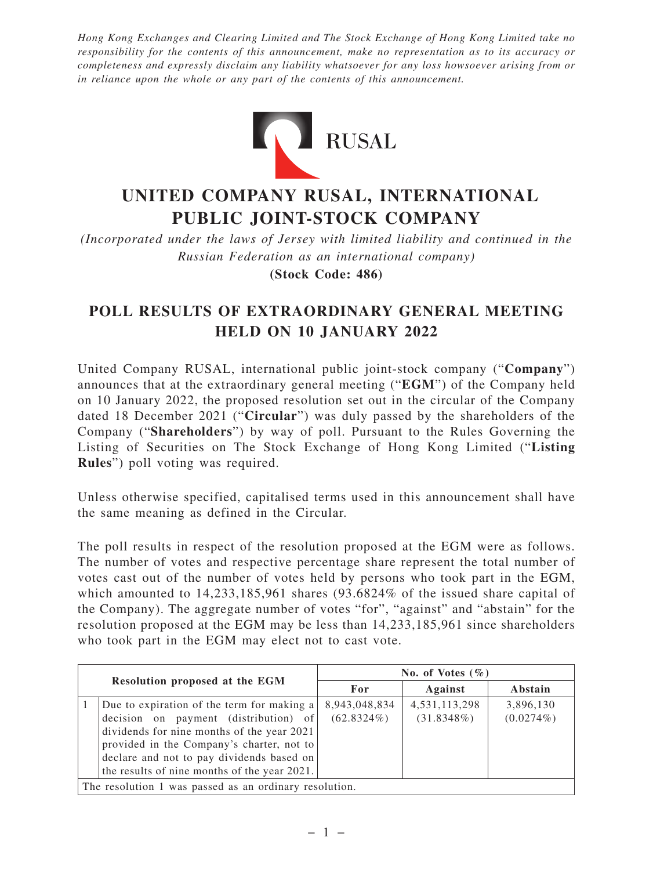*Hong Kong Exchanges and Clearing Limited and The Stock Exchange of Hong Kong Limited take no responsibility for the contents of this announcement, make no representation as to its accuracy or completeness and expressly disclaim any liability whatsoever for any loss howsoever arising from or in reliance upon the whole or any part of the contents of this announcement.*



## **UNITED COMPANY RUSAL, INTERNATIONAL PUBLIC JOINT-STOCK COMPANY**

*(Incorporated under the laws of Jersey with limited liability and continued in the Russian Federation as an international company)* **(Stock Code: 486)**

## **POLL RESULTS OF EXTRAORDINARY GENERAL MEETING HELD ON 10 JANUARY 2022**

United Company RUSAL, international public joint-stock company ("**Company**") announces that at the extraordinary general meeting ("**EGM**") of the Company held on 10 January 2022, the proposed resolution set out in the circular of the Company dated 18 December 2021 ("**Circular**") was duly passed by the shareholders of the Company ("**Shareholders**") by way of poll. Pursuant to the Rules Governing the Listing of Securities on The Stock Exchange of Hong Kong Limited ("**Listing Rules**") poll voting was required.

Unless otherwise specified, capitalised terms used in this announcement shall have the same meaning as defined in the Circular.

The poll results in respect of the resolution proposed at the EGM were as follows. The number of votes and respective percentage share represent the total number of votes cast out of the number of votes held by persons who took part in the EGM, which amounted to 14,233,185,961 shares (93.6824% of the issued share capital of the Company). The aggregate number of votes "for", "against" and "abstain" for the resolution proposed at the EGM may be less than 14,233,185,961 since shareholders who took part in the EGM may elect not to cast vote.

|                                                        |                                                                                                                                                                                                                                                                             | No. of Votes $(\% )$           |                                   |                           |
|--------------------------------------------------------|-----------------------------------------------------------------------------------------------------------------------------------------------------------------------------------------------------------------------------------------------------------------------------|--------------------------------|-----------------------------------|---------------------------|
| Resolution proposed at the EGM                         |                                                                                                                                                                                                                                                                             | For                            | Against                           | Abstain                   |
|                                                        | Due to expiration of the term for making a<br>decision on payment (distribution) of<br>dividends for nine months of the year 2021<br>provided in the Company's charter, not to<br>declare and not to pay dividends based on<br>the results of nine months of the year 2021. | 8,943,048,834<br>$(62.8324\%)$ | 4, 531, 113, 298<br>$(31.8348\%)$ | 3,896,130<br>$(0.0274\%)$ |
| The resolution 1 was passed as an ordinary resolution. |                                                                                                                                                                                                                                                                             |                                |                                   |                           |